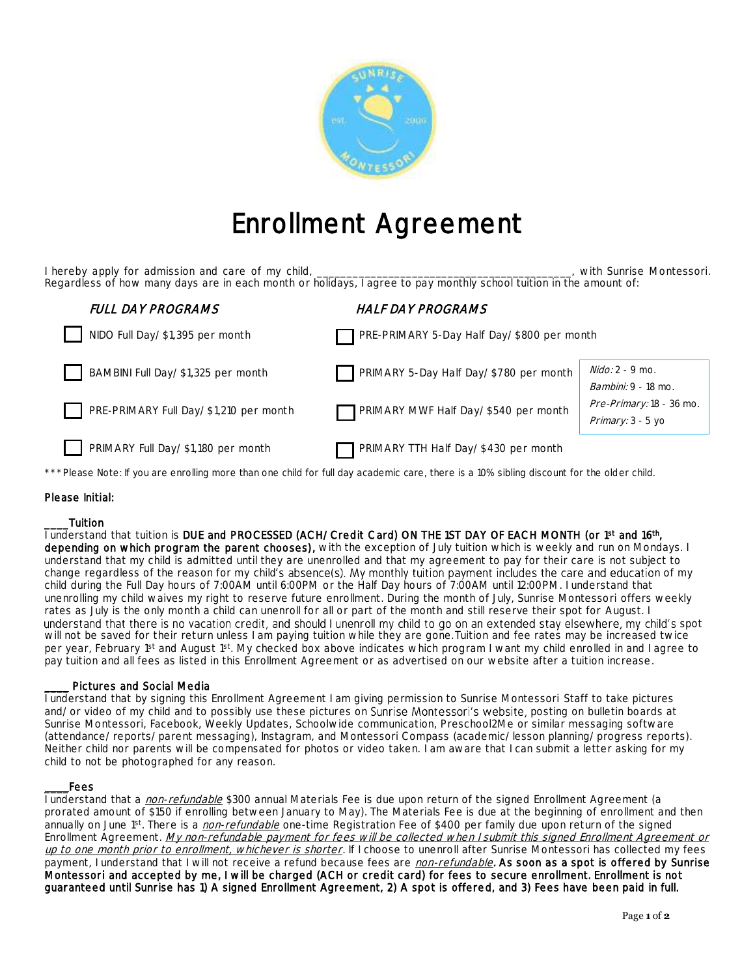

# Enrollment Agreement

I hereby apply for admission and care of my child, \_\_\_\_\_\_\_\_\_\_\_\_\_\_\_\_\_\_\_\_\_\_\_\_\_\_\_\_\_\_\_\_\_\_\_\_\_\_\_\_\_\_\_, with Sunrise Montessori. Regardless of how many days are in each month or holidays, I agree to pay monthly school tuition in the amount of:

| FULL DAY PROGRAMS                      | <b>HALF DAY PROGRAMS</b>                   |                                                 |
|----------------------------------------|--------------------------------------------|-------------------------------------------------|
| NIDO Full Day/\$1,395 per month        | PRE-PRIMARY 5-Day Half Day/\$800 per month |                                                 |
| BAMBINI Full Day/\$1,325 per month     | PRIMARY 5-Day Half Day/\$780 per month     | $Nido: 2 - 9$ mo.<br><i>Bambini:</i> 9 - 18 mo. |
| PRE-PRIMARY Full Day/\$1,210 per month | PRIMARY MWF Half Day/\$540 per month       | Pre-Primary: 18 - 36 mo.<br>Primary: 3 - 5 yo   |
| PRIMARY Full Day/\$1,180 per month     | PRIMARY TTH Half Day/\$430 per month       |                                                 |

\*\*\*Please Note: If you are enrolling more than one child for full day academic care, there is a 10% sibling discount for the older child.

## Please Initial:

## \_\_\_\_Tuition

l understand that tuition is DUE and PROCESSED (ACH/Credit Card) ON THE 1ST DAY OF EACH MONTH (or 1st and 16th, depending on which program the parent chooses), with the exception of July tuition which is weekly and run on Mondays. I understand that my child is admitted until they are unenrolled and that my agreement to pay for their care is not subject to change regardless of the reason for my child's absence(s). My monthly tuition payment includes the care and education of my child during the Full Day hours of 7:00AM until 6:00PM or the Half Day hours of 7:00AM until 12:00PM. I understand that unenrolling my child waives my right to reserve future enrollment. During the month of July, Sunrise Montessori offers weekly rates as July is the only month a child can unenroll for all or part of the month and still reserve their spot for August. I understand that there is no vacation credit, and should I unenroll my child to go on an extended stay elsewhere, my child's spot will not be saved for their return unless I am paying tuition while they are gone.Tuition and fee rates may be increased twice per year, February 1<sup>st</sup> and August 1<sup>st</sup>. My checked box above indicates which program I want my child enrolled in and I agree to pay tuition and all fees as listed in this Enrollment Agreement or as advertised on our website after a tuition increase.

## Pictures and Social Media

I understand that by signing this Enrollment Agreement I am giving permission to Sunrise Montessori Staff to take pictures and/or video of my child and to possibly use these pictures on Sunrise Montessori's website, posting on bulletin boards at Sunrise Montessori, Facebook, Weekly Updates, Schoolwide communication, Preschool2Me or similar messaging software (attendance/reports/parent messaging), Instagram, and Montessori Compass (academic/lesson planning/progress reports). Neither child nor parents will be compensated for photos or video taken. I am aware that I can submit a letter asking for my child to not be photographed for any reason.

#### \_\_\_\_Fees

I understand that a non-refundable \$300 annual Materials Fee is due upon return of the signed Enrollment Agreement (a prorated amount of \$150 if enrolling between January to May). The Materials Fee is due at the beginning of enrollment and then annually on June 1st. There is a *non-refundable* one-time Registration Fee of \$400 per family due upon return of the signed Enrollment Agreement. My non-refundable payment for fees will be collected when I submit this signed Enrollment Agreement or up to one month prior to enrollment, whichever is shorter</u>. If I choose to unenroll after Sunrise Montessori has collected my fees payment, I understand that I will not receive a refund because fees are non-refundable. As soon as a spot is offered by Sunrise Montessori and accepted by me, I will be charged (ACH or credit card) for fees to secure enrollment. Enrollment is not guaranteed until Sunrise has 1) A signed Enrollment Agreement, 2) A spot is offered, and 3) Fees have been paid in full.